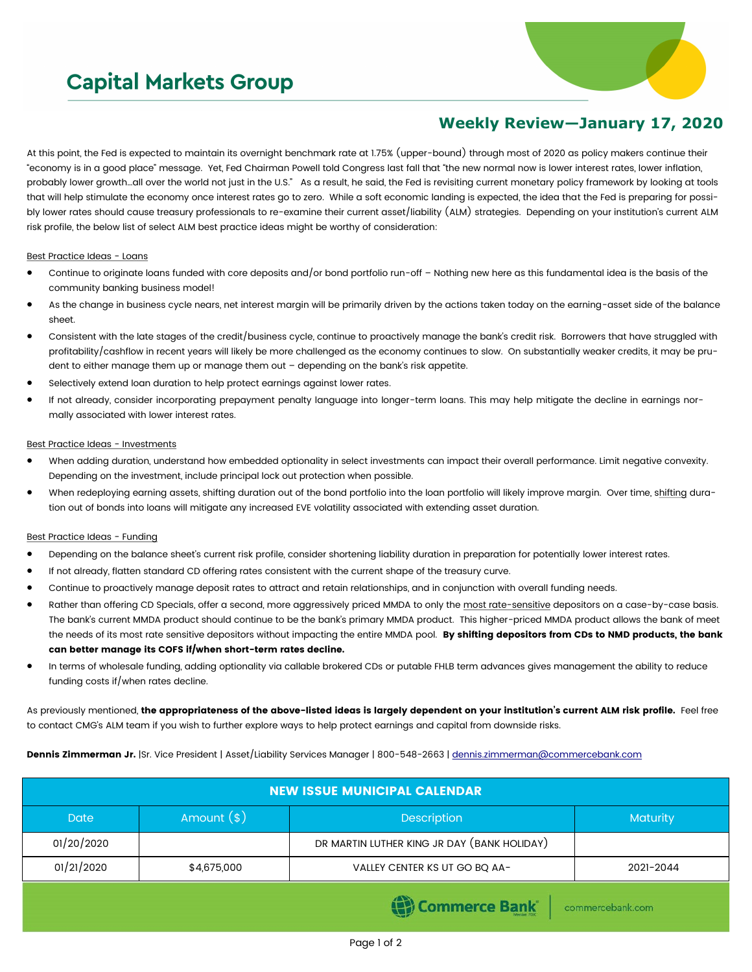# **Capital Markets Group**



## **Weekly Review—January 17, 2020**

At this point, the Fed is expected to maintain its overnight benchmark rate at 1.75% (upper-bound) through most of 2020 as policy makers continue their "economy is in a good place" message. Yet, Fed Chairman Powell told Congress last fall that "the new normal now is lower interest rates, lower inflation, probably lower growth…all over the world not just in the U.S." As a result, he said, the Fed is revisiting current monetary policy framework by looking at tools that will help stimulate the economy once interest rates go to zero. While a soft economic landing is expected, the idea that the Fed is preparing for possibly lower rates should cause treasury professionals to re-examine their current asset/liability (ALM) strategies. Depending on your institution's current ALM risk profile, the below list of select ALM best practice ideas might be worthy of consideration:

#### Best Practice Ideas - Loans

- Continue to originate loans funded with core deposits and/or bond portfolio run-off Nothing new here as this fundamental idea is the basis of the community banking business model!
- As the change in business cycle nears, net interest margin will be primarily driven by the actions taken today on the earning-asset side of the balance sheet.
- Consistent with the late stages of the credit/business cycle, continue to proactively manage the bank's credit risk. Borrowers that have struggled with profitability/cashflow in recent years will likely be more challenged as the economy continues to slow. On substantially weaker credits, it may be prudent to either manage them up or manage them out – depending on the bank's risk appetite.
- Selectively extend loan duration to help protect earnings against lower rates.
- If not already, consider incorporating prepayment penalty language into longer-term loans. This may help mitigate the decline in earnings normally associated with lower interest rates.

#### Best Practice Ideas - Investments

- When adding duration, understand how embedded optionality in select investments can impact their overall performance. Limit negative convexity. Depending on the investment, include principal lock out protection when possible.
- When redeploying earning assets, shifting duration out of the bond portfolio into the loan portfolio will likely improve margin. Over time, shifting duration out of bonds into loans will mitigate any increased EVE volatility associated with extending asset duration.

#### Best Practice Ideas - Funding

- Depending on the balance sheet's current risk profile, consider shortening liability duration in preparation for potentially lower interest rates.
- If not already, flatten standard CD offering rates consistent with the current shape of the treasury curve.
- Continue to proactively manage deposit rates to attract and retain relationships, and in conjunction with overall funding needs.
- Rather than offering CD Specials, offer a second, more aggressively priced MMDA to only the most rate-sensitive depositors on a case-by-case basis. The bank's current MMDA product should continue to be the bank's primary MMDA product. This higher-priced MMDA product allows the bank of meet the needs of its most rate sensitive depositors without impacting the entire MMDA pool. By shifting depositors from CDs to NMD products, the bank can better manage its COFS if/when short-term rates decline.
- In terms of wholesale funding, adding optionality via callable brokered CDs or putable FHLB term advances gives management the ability to reduce funding costs if/when rates decline.

As previously mentioned, the appropriateness of the above-listed ideas is largely dependent on your institution's current ALM risk profile. Feel free to contact CMG's ALM team if you wish to further explore ways to help protect earnings and capital from downside risks.

Dennis Zimmerman Jr. |Sr. Vice President | Asset/Liability Services Manager | 800-548-2663 | [dennis.zimmerman@commercebank.com](mailto:Dennis.Zimmerman@commercebank.com)

| <b>NEW ISSUE MUNICIPAL CALENDAR</b> |               |                                             |                 |  |  |
|-------------------------------------|---------------|---------------------------------------------|-----------------|--|--|
| <b>Date</b>                         | Amount $(\$)$ | <b>Description</b>                          | <b>Maturity</b> |  |  |
| 01/20/2020                          |               | DR MARTIN LUTHER KING JR DAY (BANK HOLIDAY) |                 |  |  |
| 01/21/2020                          | \$4,675,000   | VALLEY CENTER KS UT GO BQ AA-               | 2021-2044       |  |  |
|                                     |               |                                             |                 |  |  |

Page 1 of 2

Commerce Bank

commercebank.com